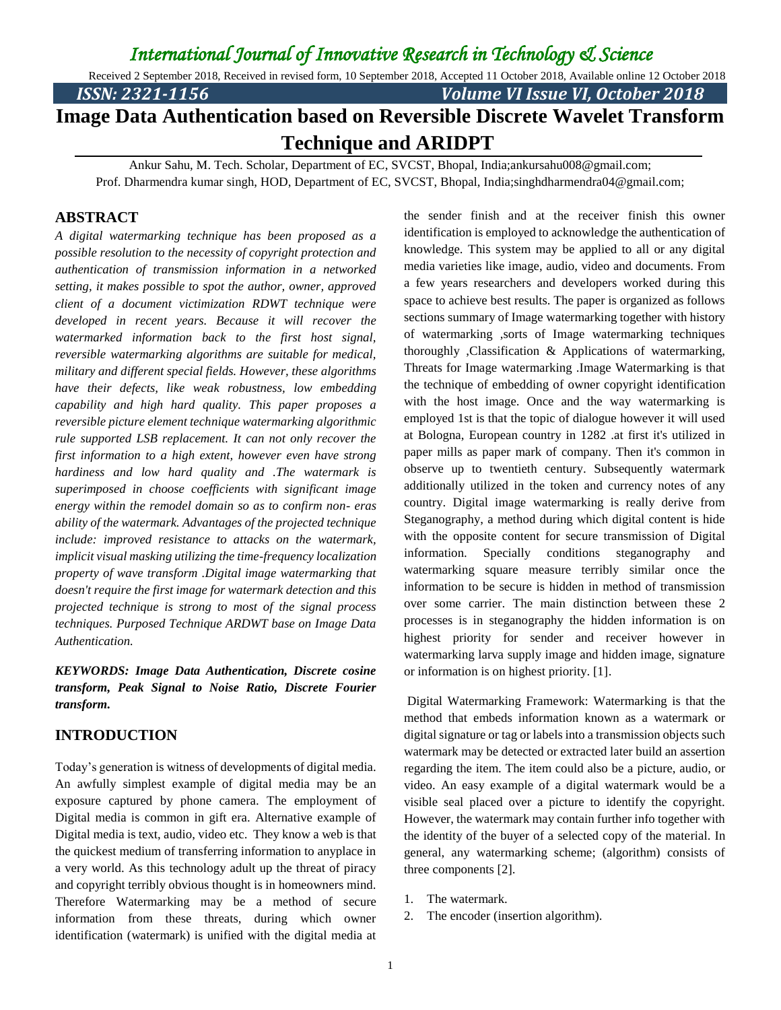Received 2 September 2018, Received in revised form, 10 September 2018, Accepted 11 October 2018, Available online 12 October 2018 *ISSN: 2321-1156 Volume VI Issue VI, October 2018*

# **Image Data Authentication based on Reversible Discrete Wavelet Transform Technique and ARIDPT**

Ankur Sahu, M. Tech. Scholar, Department of EC, SVCST, Bhopal, India;ankursahu008@gmail.com; Prof. Dharmendra kumar singh, HOD, Department of EC, SVCST, Bhopal, India;singhdharmendra04@gmail.com;

### **ABSTRACT**

*A digital watermarking technique has been proposed as a possible resolution to the necessity of copyright protection and authentication of transmission information in a networked setting, it makes possible to spot the author, owner, approved client of a document victimization RDWT technique were developed in recent years. Because it will recover the watermarked information back to the first host signal, reversible watermarking algorithms are suitable for medical, military and different special fields. However, these algorithms have their defects, like weak robustness, low embedding capability and high hard quality. This paper proposes a reversible picture element technique watermarking algorithmic rule supported LSB replacement. It can not only recover the first information to a high extent, however even have strong hardiness and low hard quality and .The watermark is superimposed in choose coefficients with significant image energy within the remodel domain so as to confirm non- eras ability of the watermark. Advantages of the projected technique include: improved resistance to attacks on the watermark, implicit visual masking utilizing the time-frequency localization property of wave transform .Digital image watermarking that doesn't require the first image for watermark detection and this projected technique is strong to most of the signal process techniques. Purposed Technique ARDWT base on Image Data Authentication.*

*KEYWORDS: Image Data Authentication, Discrete cosine transform, Peak Signal to Noise Ratio, Discrete Fourier transform.*

#### **INTRODUCTION**

Today's generation is witness of developments of digital media. An awfully simplest example of digital media may be an exposure captured by phone camera. The employment of Digital media is common in gift era. Alternative example of Digital media is text, audio, video etc. They know a web is that the quickest medium of transferring information to anyplace in a very world. As this technology adult up the threat of piracy and copyright terribly obvious thought is in homeowners mind. Therefore Watermarking may be a method of secure information from these threats, during which owner identification (watermark) is unified with the digital media at

the sender finish and at the receiver finish this owner identification is employed to acknowledge the authentication of knowledge. This system may be applied to all or any digital media varieties like image, audio, video and documents. From a few years researchers and developers worked during this space to achieve best results. The paper is organized as follows sections summary of Image watermarking together with history of watermarking ,sorts of Image watermarking techniques thoroughly ,Classification & Applications of watermarking, Threats for Image watermarking .Image Watermarking is that the technique of embedding of owner copyright identification with the host image. Once and the way watermarking is employed 1st is that the topic of dialogue however it will used at Bologna, European country in 1282 .at first it's utilized in paper mills as paper mark of company. Then it's common in observe up to twentieth century. Subsequently watermark additionally utilized in the token and currency notes of any country. Digital image watermarking is really derive from Steganography, a method during which digital content is hide with the opposite content for secure transmission of Digital information. Specially conditions steganography and watermarking square measure terribly similar once the information to be secure is hidden in method of transmission over some carrier. The main distinction between these 2 processes is in steganography the hidden information is on highest priority for sender and receiver however in watermarking larva supply image and hidden image, signature or information is on highest priority. [1].

Digital Watermarking Framework: Watermarking is that the method that embeds information known as a watermark or digital signature or tag or labels into a transmission objects such watermark may be detected or extracted later build an assertion regarding the item. The item could also be a picture, audio, or video. An easy example of a digital watermark would be a visible seal placed over a picture to identify the copyright. However, the watermark may contain further info together with the identity of the buyer of a selected copy of the material. In general, any watermarking scheme; (algorithm) consists of three components [2].

- 1. The watermark.
- 2. The encoder (insertion algorithm).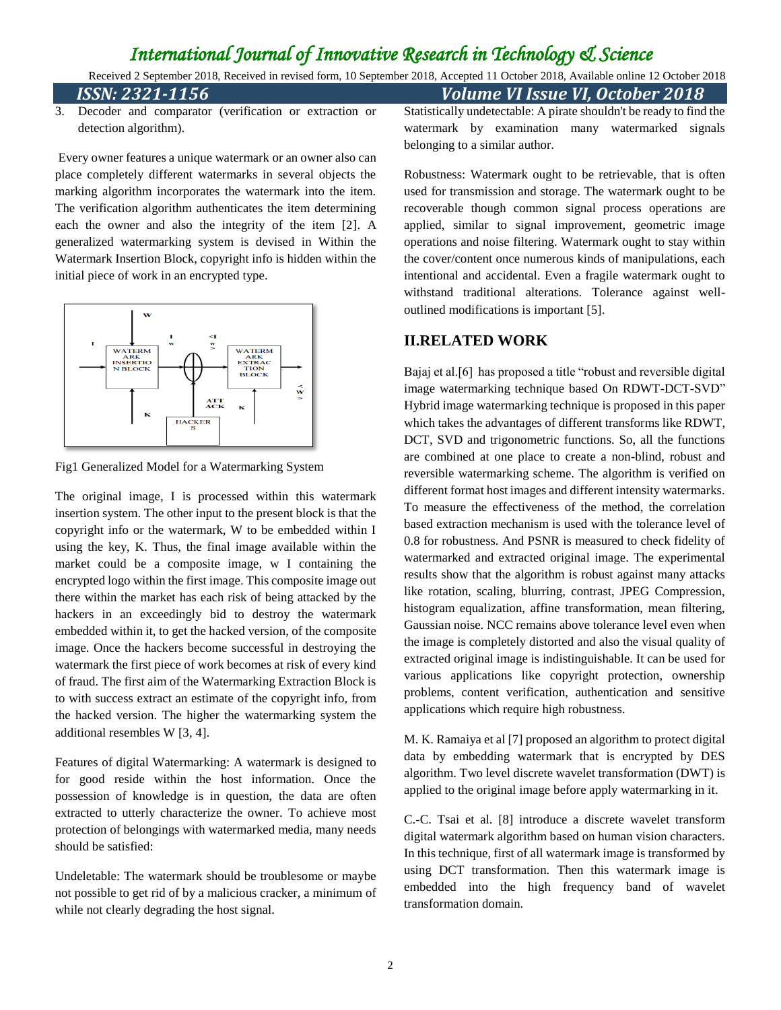Received 2 September 2018, Received in revised form, 10 September 2018, Accepted 11 October 2018, Available online 12 October 2018 *ISSN: 2321-1156 Volume VI Issue VI, October 2018*

3. Decoder and comparator (verification or extraction or detection algorithm).

Every owner features a unique watermark or an owner also can place completely different watermarks in several objects the marking algorithm incorporates the watermark into the item. The verification algorithm authenticates the item determining each the owner and also the integrity of the item [2]. A generalized watermarking system is devised in Within the Watermark Insertion Block, copyright info is hidden within the initial piece of work in an encrypted type.



Fig1 Generalized Model for a Watermarking System

The original image, I is processed within this watermark insertion system. The other input to the present block is that the copyright info or the watermark, W to be embedded within I using the key, K. Thus, the final image available within the market could be a composite image, w I containing the encrypted logo within the first image. This composite image out there within the market has each risk of being attacked by the hackers in an exceedingly bid to destroy the watermark embedded within it, to get the hacked version, of the composite image. Once the hackers become successful in destroying the watermark the first piece of work becomes at risk of every kind of fraud. The first aim of the Watermarking Extraction Block is to with success extract an estimate of the copyright info, from the hacked version. The higher the watermarking system the additional resembles W [3, 4].

Features of digital Watermarking: A watermark is designed to for good reside within the host information. Once the possession of knowledge is in question, the data are often extracted to utterly characterize the owner. To achieve most protection of belongings with watermarked media, many needs should be satisfied:

Undeletable: The watermark should be troublesome or maybe not possible to get rid of by a malicious cracker, a minimum of while not clearly degrading the host signal.

Statistically undetectable: A pirate shouldn't be ready to find the watermark by examination many watermarked signals belonging to a similar author.

Robustness: Watermark ought to be retrievable, that is often used for transmission and storage. The watermark ought to be recoverable though common signal process operations are applied, similar to signal improvement, geometric image operations and noise filtering. Watermark ought to stay within the cover/content once numerous kinds of manipulations, each intentional and accidental. Even a fragile watermark ought to withstand traditional alterations. Tolerance against welloutlined modifications is important [5].

### **II.RELATED WORK**

Bajaj et al.[6] has proposed a title "robust and reversible digital image watermarking technique based On RDWT-DCT-SVD" Hybrid image watermarking technique is proposed in this paper which takes the advantages of different transforms like RDWT, DCT, SVD and trigonometric functions. So, all the functions are combined at one place to create a non-blind, robust and reversible watermarking scheme. The algorithm is verified on different format host images and different intensity watermarks. To measure the effectiveness of the method, the correlation based extraction mechanism is used with the tolerance level of 0.8 for robustness. And PSNR is measured to check fidelity of watermarked and extracted original image. The experimental results show that the algorithm is robust against many attacks like rotation, scaling, blurring, contrast, JPEG Compression, histogram equalization, affine transformation, mean filtering, Gaussian noise. NCC remains above tolerance level even when the image is completely distorted and also the visual quality of extracted original image is indistinguishable. It can be used for various applications like copyright protection, ownership problems, content verification, authentication and sensitive applications which require high robustness.

M. K. Ramaiya et al [7] proposed an algorithm to protect digital data by embedding watermark that is encrypted by DES algorithm. Two level discrete wavelet transformation (DWT) is applied to the original image before apply watermarking in it.

C.-C. Tsai et al. [8] introduce a discrete wavelet transform digital watermark algorithm based on human vision characters. In this technique, first of all watermark image is transformed by using DCT transformation. Then this watermark image is embedded into the high frequency band of wavelet transformation domain.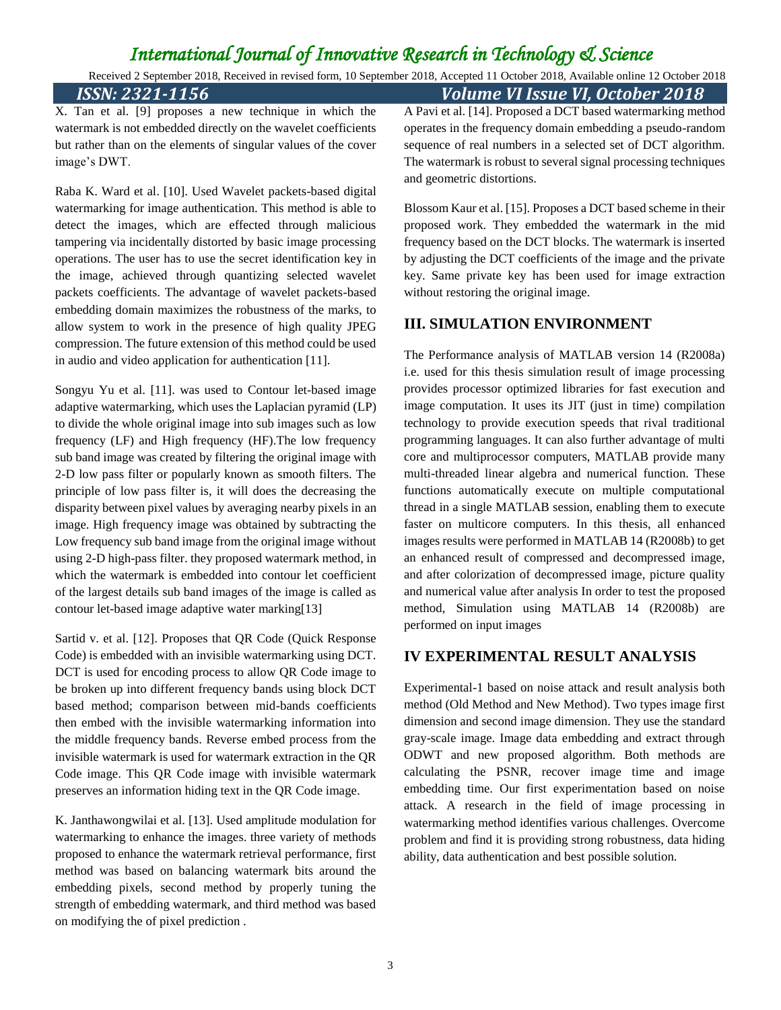Received 2 September 2018, Received in revised form, 10 September 2018, Accepted 11 October 2018, Available online 12 October 2018 *ISSN: 2321-1156 Volume VI Issue VI, October 2018*

X. Tan et al. [9] proposes a new technique in which the watermark is not embedded directly on the wavelet coefficients but rather than on the elements of singular values of the cover image's DWT.

Raba K. Ward et al. [10]. Used Wavelet packets-based digital watermarking for image authentication. This method is able to detect the images, which are effected through malicious tampering via incidentally distorted by basic image processing operations. The user has to use the secret identification key in the image, achieved through quantizing selected wavelet packets coefficients. The advantage of wavelet packets-based embedding domain maximizes the robustness of the marks, to allow system to work in the presence of high quality JPEG compression. The future extension of this method could be used in audio and video application for authentication [11].

Songyu Yu et al. [11]. was used to Contour let-based image adaptive watermarking, which uses the Laplacian pyramid (LP) to divide the whole original image into sub images such as low frequency (LF) and High frequency (HF).The low frequency sub band image was created by filtering the original image with 2-D low pass filter or popularly known as smooth filters. The principle of low pass filter is, it will does the decreasing the disparity between pixel values by averaging nearby pixels in an image. High frequency image was obtained by subtracting the Low frequency sub band image from the original image without using 2-D high-pass filter. they proposed watermark method, in which the watermark is embedded into contour let coefficient of the largest details sub band images of the image is called as contour let-based image adaptive water marking[13]

Sartid v. et al. [12]. Proposes that QR Code (Quick Response Code) is embedded with an invisible watermarking using DCT. DCT is used for encoding process to allow QR Code image to be broken up into different frequency bands using block DCT based method; comparison between mid-bands coefficients then embed with the invisible watermarking information into the middle frequency bands. Reverse embed process from the invisible watermark is used for watermark extraction in the QR Code image. This QR Code image with invisible watermark preserves an information hiding text in the QR Code image.

K. Janthawongwilai et al. [13]. Used amplitude modulation for watermarking to enhance the images. three variety of methods proposed to enhance the watermark retrieval performance, first method was based on balancing watermark bits around the embedding pixels, second method by properly tuning the strength of embedding watermark, and third method was based on modifying the of pixel prediction .

A Pavi et al. [14]. Proposed a DCT based watermarking method operates in the frequency domain embedding a pseudo-random sequence of real numbers in a selected set of DCT algorithm. The watermark is robust to several signal processing techniques and geometric distortions.

Blossom Kaur et al. [15]. Proposes a DCT based scheme in their proposed work. They embedded the watermark in the mid frequency based on the DCT blocks. The watermark is inserted by adjusting the DCT coefficients of the image and the private key. Same private key has been used for image extraction without restoring the original image.

### **III. SIMULATION ENVIRONMENT**

The Performance analysis of MATLAB version 14 (R2008a) i.e. used for this thesis simulation result of image processing provides processor optimized libraries for fast execution and image computation. It uses its JIT (just in time) compilation technology to provide execution speeds that rival traditional programming languages. It can also further advantage of multi core and multiprocessor computers, MATLAB provide many multi-threaded linear algebra and numerical function. These functions automatically execute on multiple computational thread in a single MATLAB session, enabling them to execute faster on multicore computers. In this thesis, all enhanced images results were performed in MATLAB 14 (R2008b) to get an enhanced result of compressed and decompressed image, and after colorization of decompressed image, picture quality and numerical value after analysis In order to test the proposed method, Simulation using MATLAB 14 (R2008b) are performed on input images

### **IV EXPERIMENTAL RESULT ANALYSIS**

Experimental-1 based on noise attack and result analysis both method (Old Method and New Method). Two types image first dimension and second image dimension. They use the standard gray-scale image. Image data embedding and extract through ODWT and new proposed algorithm. Both methods are calculating the PSNR, recover image time and image embedding time. Our first experimentation based on noise attack. A research in the field of image processing in watermarking method identifies various challenges. Overcome problem and find it is providing strong robustness, data hiding ability, data authentication and best possible solution.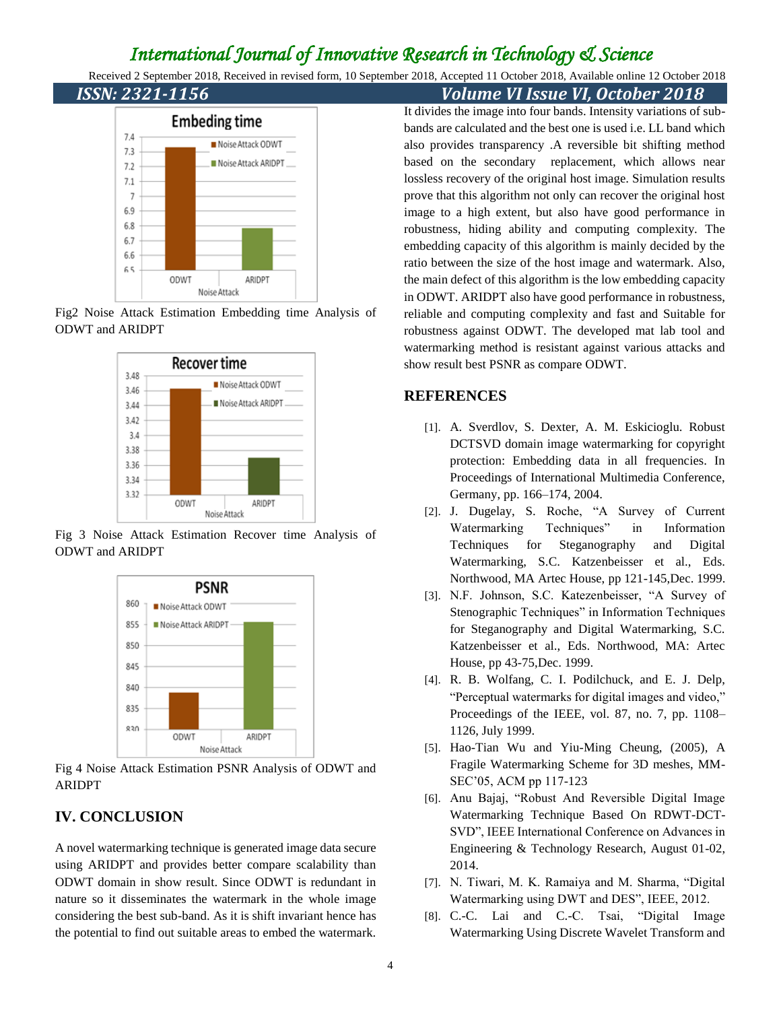Received 2 September 2018, Received in revised form, 10 September 2018, Accepted 11 October 2018, Available online 12 October 2018 *ISSN: 2321-1156 Volume VI Issue VI, October 2018*



Fig2 Noise Attack Estimation Embedding time Analysis of ODWT and ARIDPT



Fig 3 Noise Attack Estimation Recover time Analysis of ODWT and ARIDPT



Fig 4 Noise Attack Estimation PSNR Analysis of ODWT and ARIDPT

### **IV. CONCLUSION**

A novel watermarking technique is generated image data secure using ARIDPT and provides better compare scalability than ODWT domain in show result. Since ODWT is redundant in nature so it disseminates the watermark in the whole image considering the best sub-band. As it is shift invariant hence has the potential to find out suitable areas to embed the watermark.

It divides the image into four bands. Intensity variations of subbands are calculated and the best one is used i.e. LL band which also provides transparency .A reversible bit shifting method based on the secondary replacement, which allows near lossless recovery of the original host image. Simulation results prove that this algorithm not only can recover the original host image to a high extent, but also have good performance in robustness, hiding ability and computing complexity. The embedding capacity of this algorithm is mainly decided by the ratio between the size of the host image and watermark. Also, the main defect of this algorithm is the low embedding capacity in ODWT. ARIDPT also have good performance in robustness, reliable and computing complexity and fast and Suitable for robustness against ODWT. The developed mat lab tool and watermarking method is resistant against various attacks and show result best PSNR as compare ODWT.

### **REFERENCES**

- [1]. A. Sverdlov, S. Dexter, A. M. Eskicioglu. Robust DCTSVD domain image watermarking for copyright protection: Embedding data in all frequencies. In Proceedings of International Multimedia Conference, Germany, pp. 166–174, 2004.
- [2]. J. Dugelay, S. Roche, "A Survey of Current Watermarking Techniques" in Information Techniques for Steganography and Digital Watermarking, S.C. Katzenbeisser et al., Eds. Northwood, MA Artec House, pp 121-145,Dec. 1999.
- [3]. N.F. Johnson, S.C. Katezenbeisser, "A Survey of Stenographic Techniques" in Information Techniques for Steganography and Digital Watermarking, S.C. Katzenbeisser et al., Eds. Northwood, MA: Artec House, pp 43-75,Dec. 1999.
- [4]. R. B. Wolfang, C. I. Podilchuck, and E. J. Delp, "Perceptual watermarks for digital images and video," Proceedings of the IEEE, vol. 87, no. 7, pp. 1108– 1126, July 1999.
- [5]. Hao-Tian Wu and Yiu-Ming Cheung, (2005), A Fragile Watermarking Scheme for 3D meshes, MM-SEC'05, ACM pp 117-123
- [6]. Anu Bajaj, "Robust And Reversible Digital Image Watermarking Technique Based On RDWT-DCT-SVD", IEEE International Conference on Advances in Engineering & Technology Research, August 01-02, 2014.
- [7]. N. Tiwari, M. K. Ramaiya and M. Sharma, "Digital Watermarking using DWT and DES", IEEE, 2012.
- [8]. C.-C. Lai and C.-C. Tsai, "Digital Image Watermarking Using Discrete Wavelet Transform and